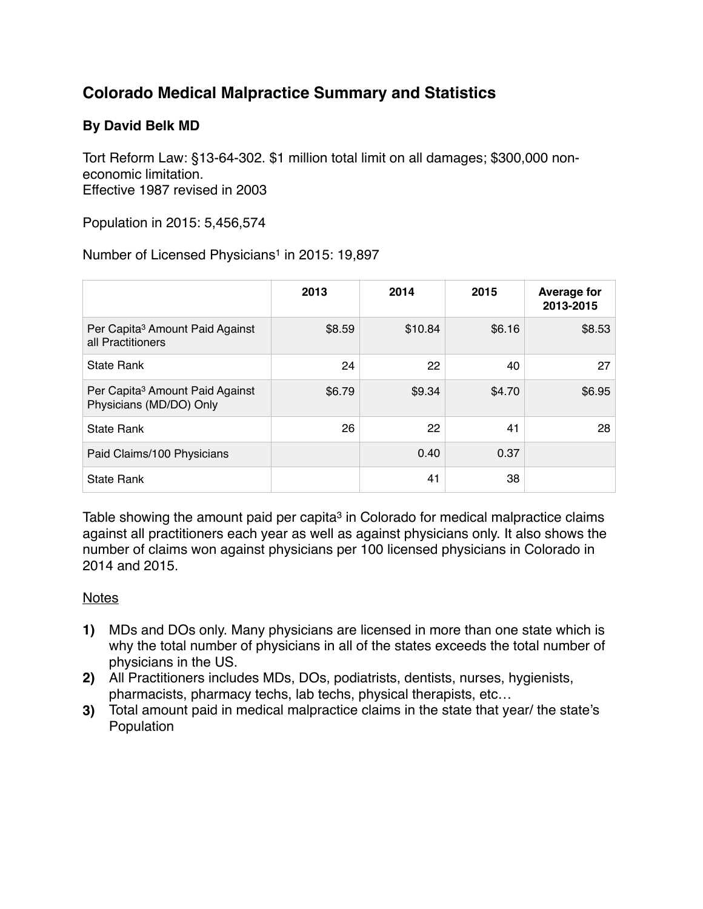## **Colorado Medical Malpractice Summary and Statistics**

## **By David Belk MD**

Tort Reform Law: §13-64-302. \$1 million total limit on all damages; \$300,000 noneconomic limitation. Effective 1987 revised in 2003

Population in 2015: 5,456,574

Number of Licensed Physicians<sup>1</sup> in 2015: 19,897

|                                                                        | 2013   | 2014    | 2015   | <b>Average for</b><br>2013-2015 |
|------------------------------------------------------------------------|--------|---------|--------|---------------------------------|
| Per Capita <sup>3</sup> Amount Paid Against<br>all Practitioners       | \$8.59 | \$10.84 | \$6.16 | \$8.53                          |
| <b>State Rank</b>                                                      | 24     | 22      | 40     | 27                              |
| Per Capita <sup>3</sup> Amount Paid Against<br>Physicians (MD/DO) Only | \$6.79 | \$9.34  | \$4.70 | \$6.95                          |
| <b>State Rank</b>                                                      | 26     | 22      | 41     | 28                              |
| Paid Claims/100 Physicians                                             |        | 0.40    | 0.37   |                                 |
| <b>State Rank</b>                                                      |        | 41      | 38     |                                 |

Table showing the amount paid per capita<sup>3</sup> in Colorado for medical malpractice claims against all practitioners each year as well as against physicians only. It also shows the number of claims won against physicians per 100 licensed physicians in Colorado in 2014 and 2015.

## Notes

- **1)** MDs and DOs only. Many physicians are licensed in more than one state which is why the total number of physicians in all of the states exceeds the total number of physicians in the US.
- **2)** All Practitioners includes MDs, DOs, podiatrists, dentists, nurses, hygienists, pharmacists, pharmacy techs, lab techs, physical therapists, etc…
- **3)** Total amount paid in medical malpractice claims in the state that year/ the state's **Population**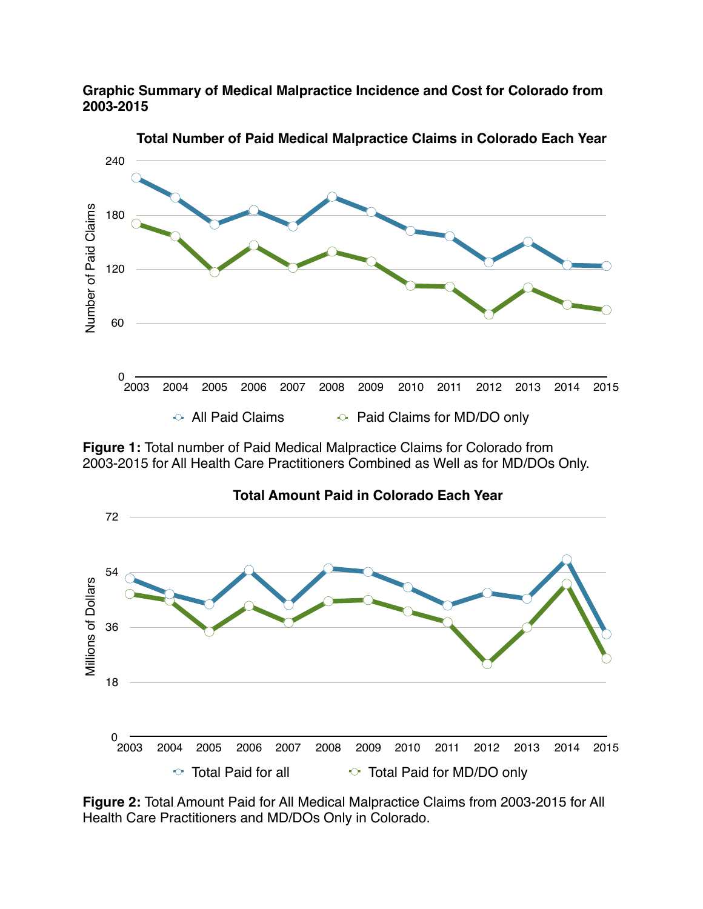**Graphic Summary of Medical Malpractice Incidence and Cost for Colorado from 2003-2015**



**Figure 1:** Total number of Paid Medical Malpractice Claims for Colorado from 2003-2015 for All Health Care Practitioners Combined as Well as for MD/DOs Only.



**Figure 2:** Total Amount Paid for All Medical Malpractice Claims from 2003-2015 for All Health Care Practitioners and MD/DOs Only in Colorado.